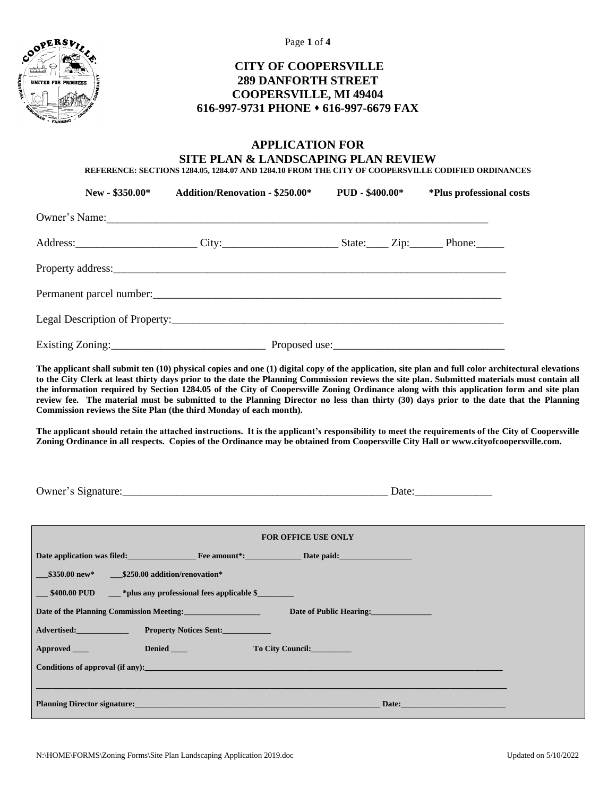

Page **1** of **4**

# **CITY OF COOPERSVILLE 289 DANFORTH STREET COOPERSVILLE, MI 49404 616-997-9731 PHONE** ⬧ **616-997-6679 FAX**

## **APPLICATION FOR SITE PLAN & LANDSCAPING PLAN REVIEW REFERENCE: SECTIONS 1284.05, 1284.07 AND 1284.10 FROM THE CITY OF COOPERSVILLE CODIFIED ORDINANCES**

| $New - $350.00*$ | <b>Addition/Renovation - \$250.00*</b>              | PUD - \$400.00* | *Plus professional costs |  |
|------------------|-----------------------------------------------------|-----------------|--------------------------|--|
|                  |                                                     |                 |                          |  |
|                  | Address: City: City: City: State: Zip: 2011. Phone: |                 |                          |  |
|                  |                                                     |                 |                          |  |
|                  |                                                     |                 |                          |  |
|                  |                                                     |                 |                          |  |
|                  |                                                     |                 |                          |  |

**The applicant shall submit ten (10) physical copies and one (1) digital copy of the application, site plan and full color architectural elevations to the City Clerk at least thirty days prior to the date the Planning Commission reviews the site plan. Submitted materials must contain all the information required by Section 1284.05 of the City of Coopersville Zoning Ordinance along with this application form and site plan review fee. The material must be submitted to the Planning Director no less than thirty (30) days prior to the date that the Planning Commission reviews the Site Plan (the third Monday of each month).**

**The applicant should retain the attached instructions. It is the applicant's responsibility to meet the requirements of the City of Coopersville Zoning Ordinance in all respects. Copies of the Ordinance may be obtained from Coopersville City Hall or www.cityofcoopersville.com.**

Owner's Signature:\_\_\_\_\_\_\_\_\_\_\_\_\_\_\_\_\_\_\_\_\_\_\_\_\_\_\_\_\_\_\_\_\_\_\_\_\_\_\_\_\_\_\_\_\_\_\_\_ Date:\_\_\_\_\_\_\_\_\_\_\_\_\_\_

| <b>FOR OFFICE USE ONLY</b>                                                                                                                                                                                                                   |  |  |  |  |  |  |  |  |  |  |  |  |
|----------------------------------------------------------------------------------------------------------------------------------------------------------------------------------------------------------------------------------------------|--|--|--|--|--|--|--|--|--|--|--|--|
| Date application was filed: Fee amount*: Been Date paid:                                                                                                                                                                                     |  |  |  |  |  |  |  |  |  |  |  |  |
| $$350.00\,\text{new*}$ $$250.00\,\text{addition/renovation*}$                                                                                                                                                                                |  |  |  |  |  |  |  |  |  |  |  |  |
| $\frac{\text{400.00 PUD}}{\text{400.00 PUD}}$ *plus any professional fees applicable \$                                                                                                                                                      |  |  |  |  |  |  |  |  |  |  |  |  |
| Date of the Planning Commission Meeting:<br>Date of Public Hearing:                                                                                                                                                                          |  |  |  |  |  |  |  |  |  |  |  |  |
| Advertised: Property Notices Sent:                                                                                                                                                                                                           |  |  |  |  |  |  |  |  |  |  |  |  |
| Approved _____<br>To City Council:                                                                                                                                                                                                           |  |  |  |  |  |  |  |  |  |  |  |  |
| <b>Conditions of approval (if any):</b> The conditions of approval (if any):                                                                                                                                                                 |  |  |  |  |  |  |  |  |  |  |  |  |
|                                                                                                                                                                                                                                              |  |  |  |  |  |  |  |  |  |  |  |  |
| <b>Planning Director signature:</b> The contract of the contract of the contract of the contract of the contract of the contract of the contract of the contract of the contract of the contract of the contract of the contract of<br>Date: |  |  |  |  |  |  |  |  |  |  |  |  |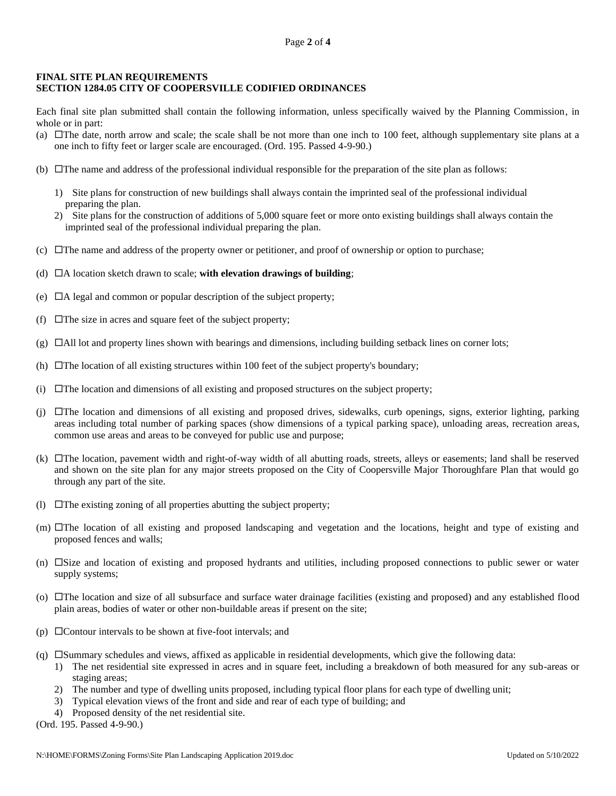# **FINAL SITE PLAN REQUIREMENTS SECTION 1284.05 CITY OF COOPERSVILLE CODIFIED ORDINANCES**

Each final site plan submitted shall contain the following information, unless specifically waived by the Planning Commission, in whole or in part:

- (a) The date, north arrow and scale; the scale shall be not more than one inch to 100 feet, although supplementary site plans at a one inch to fifty feet or larger scale are encouraged. (Ord. 195. Passed 4-9-90.)
- (b) The name and address of the professional individual responsible for the preparation of the site plan as follows:
	- 1) Site plans for construction of new buildings shall always contain the imprinted seal of the professional individual preparing the plan.
	- 2) Site plans for the construction of additions of 5,000 square feet or more onto existing buildings shall always contain the imprinted seal of the professional individual preparing the plan.
- (c) The name and address of the property owner or petitioner, and proof of ownership or option to purchase;
- (d)  $\Box$  A location sketch drawn to scale; **with elevation drawings of building**;
- (e)  $\Box$  A legal and common or popular description of the subject property;
- (f)  $\square$  The size in acres and square feet of the subject property;
- $(g)$   $\Box$  All lot and property lines shown with bearings and dimensions, including building setback lines on corner lots;
- (h)  $\Box$  The location of all existing structures within 100 feet of the subject property's boundary;
- (i)  $\Box$  The location and dimensions of all existing and proposed structures on the subject property;
- (j) The location and dimensions of all existing and proposed drives, sidewalks, curb openings, signs, exterior lighting, parking areas including total number of parking spaces (show dimensions of a typical parking space), unloading areas, recreation areas, common use areas and areas to be conveyed for public use and purpose;
- (k) The location, pavement width and right-of-way width of all abutting roads, streets, alleys or easements; land shall be reserved and shown on the site plan for any major streets proposed on the City of Coopersville Major Thoroughfare Plan that would go through any part of the site.
- (1)  $\Box$  The existing zoning of all properties abutting the subject property;
- (m) The location of all existing and proposed landscaping and vegetation and the locations, height and type of existing and proposed fences and walls;
- (n) Size and location of existing and proposed hydrants and utilities, including proposed connections to public sewer or water supply systems;
- (o) The location and size of all subsurface and surface water drainage facilities (existing and proposed) and any established flood plain areas, bodies of water or other non-buildable areas if present on the site;
- (p)  $\Box$  Contour intervals to be shown at five-foot intervals; and
- (q)  $\square$  Summary schedules and views, affixed as applicable in residential developments, which give the following data:
	- 1) The net residential site expressed in acres and in square feet, including a breakdown of both measured for any sub-areas or staging areas;
	- 2) The number and type of dwelling units proposed, including typical floor plans for each type of dwelling unit;
	- 3) Typical elevation views of the front and side and rear of each type of building; and
	- 4) Proposed density of the net residential site.

(Ord. 195. Passed 4-9-90.)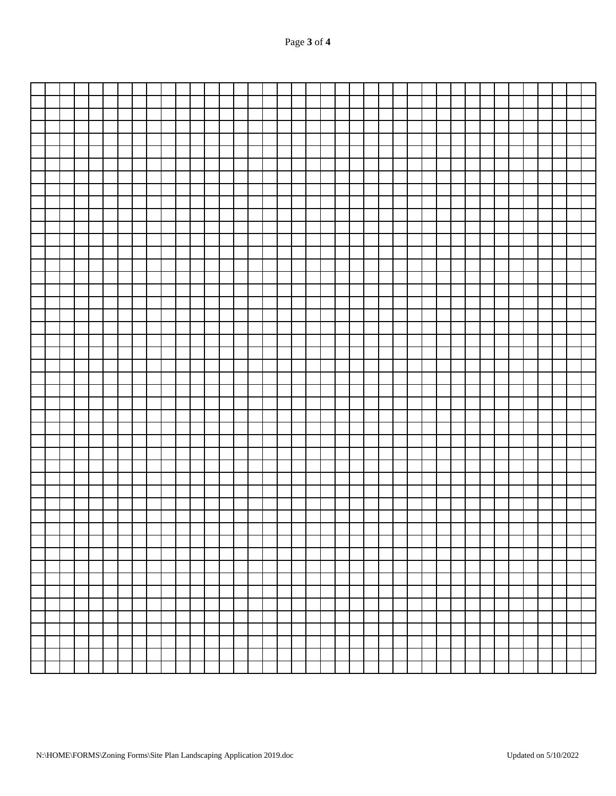| Г |  |  |  |  |  |  |  |  |  |  |  |  |  |  |  |  |  |  |  |
|---|--|--|--|--|--|--|--|--|--|--|--|--|--|--|--|--|--|--|--|
| ┍ |  |  |  |  |  |  |  |  |  |  |  |  |  |  |  |  |  |  |  |
|   |  |  |  |  |  |  |  |  |  |  |  |  |  |  |  |  |  |  |  |